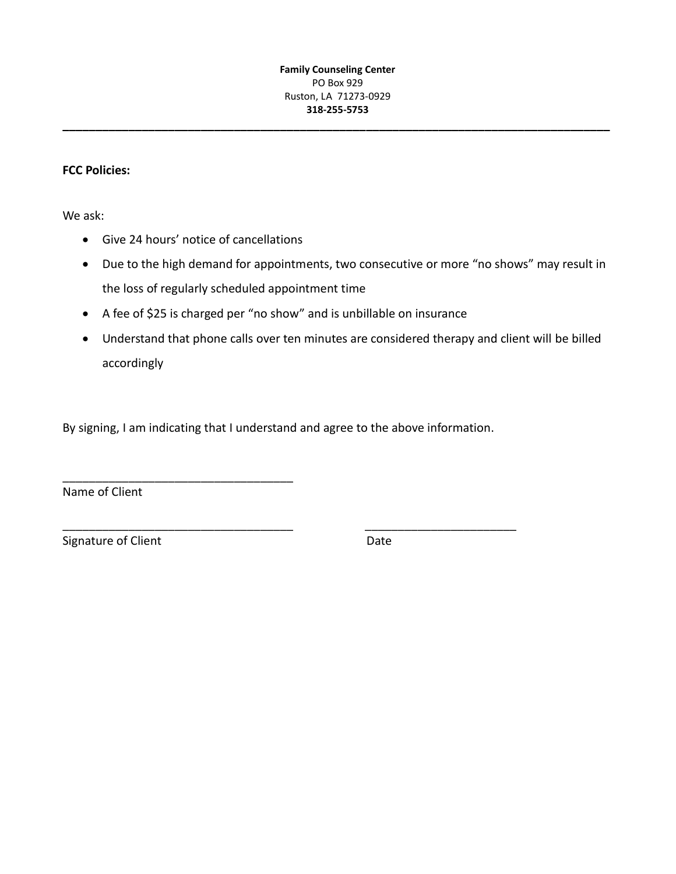**\_\_\_\_\_\_\_\_\_\_\_\_\_\_\_\_\_\_\_\_\_\_\_\_\_\_\_\_\_\_\_\_\_\_\_\_\_\_\_\_\_\_\_\_\_\_\_\_\_\_\_\_\_\_\_\_\_\_\_\_\_\_\_\_\_\_\_\_\_\_\_\_\_\_\_\_\_\_\_\_\_\_\_**

## **FCC Policies:**

We ask:

Give 24 hours' notice of cancellations

\_\_\_\_\_\_\_\_\_\_\_\_\_\_\_\_\_\_\_\_\_\_\_\_\_\_\_\_\_\_\_\_\_\_\_

- Due to the high demand for appointments, two consecutive or more "no shows" may result in the loss of regularly scheduled appointment time
- A fee of \$25 is charged per "no show" and is unbillable on insurance
- Understand that phone calls over ten minutes are considered therapy and client will be billed accordingly

By signing, I am indicating that I understand and agree to the above information.

\_\_\_\_\_\_\_\_\_\_\_\_\_\_\_\_\_\_\_\_\_\_\_\_\_\_\_\_\_\_\_\_\_\_\_ \_\_\_\_\_\_\_\_\_\_\_\_\_\_\_\_\_\_\_\_\_\_\_

Name of Client

Signature of Client **Date**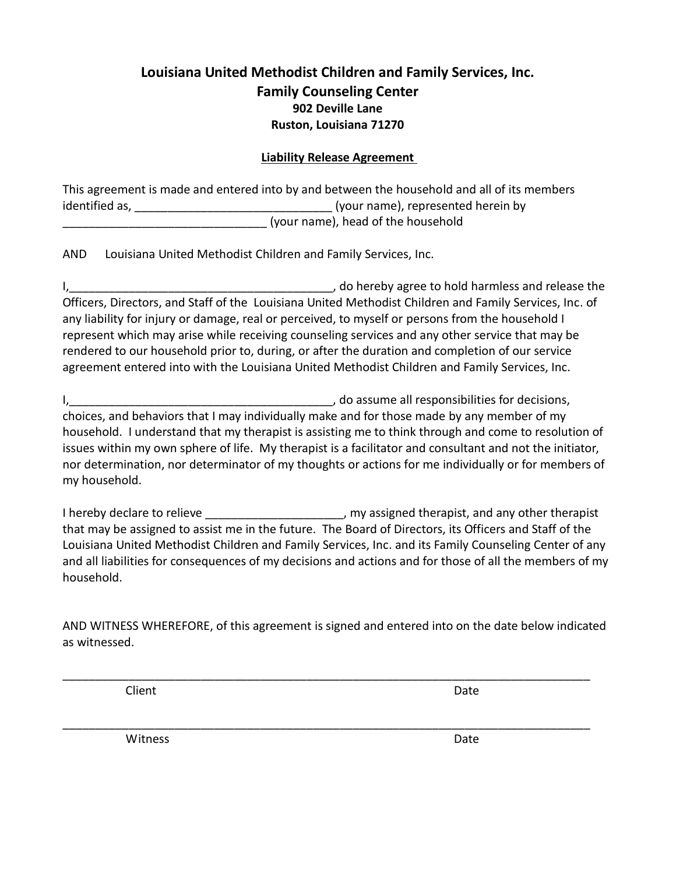# **Louisiana United Methodist Children and Family Services, Inc. Family Counseling Center 902 Deville Lane Ruston, Louisiana 71270**

## **Liability Release Agreement**

This agreement is made and entered into by and between the household and all of its members identified as, \_\_\_\_\_\_\_\_\_\_\_\_\_\_\_\_\_\_\_\_\_\_\_\_\_\_\_\_\_\_ (your name), represented herein by (your name), head of the household

AND Louisiana United Methodist Children and Family Services, Inc.

I, the same of the contract of the contract of the contract of the contract of the contract of the contract of the contract of the contract of the contract of the contract of the contract of the contract of the contract of Officers, Directors, and Staff of the Louisiana United Methodist Children and Family Services, Inc. of any liability for injury or damage, real or perceived, to myself or persons from the household I represent which may arise while receiving counseling services and any other service that may be rendered to our household prior to, during, or after the duration and completion of our service agreement entered into with the Louisiana United Methodist Children and Family Services, Inc.

I,\_\_\_\_\_\_\_\_\_\_\_\_\_\_\_\_\_\_\_\_\_\_\_\_\_\_\_\_\_\_\_\_\_\_\_\_\_\_\_\_, do assume all responsibilities for decisions, choices, and behaviors that I may individually make and for those made by any member of my household. I understand that my therapist is assisting me to think through and come to resolution of issues within my own sphere of life. My therapist is a facilitator and consultant and not the initiator, nor determination, nor determinator of my thoughts or actions for me individually or for members of my household.

I hereby declare to relieve \_\_\_\_\_\_\_\_\_\_\_\_\_\_\_\_\_\_\_\_, my assigned therapist, and any other therapist that may be assigned to assist me in the future. The Board of Directors, its Officers and Staff of the Louisiana United Methodist Children and Family Services, Inc. and its Family Counseling Center of any and all liabilities for consequences of my decisions and actions and for those of all the members of my household.

AND WITNESS WHEREFORE, of this agreement is signed and entered into on the date below indicated as witnessed.

\_\_\_\_\_\_\_\_\_\_\_\_\_\_\_\_\_\_\_\_\_\_\_\_\_\_\_\_\_\_\_\_\_\_\_\_\_\_\_\_\_\_\_\_\_\_\_\_\_\_\_\_\_\_\_\_\_\_\_\_\_\_\_\_\_\_\_\_\_\_\_\_\_\_\_\_\_\_\_\_

\_\_\_\_\_\_\_\_\_\_\_\_\_\_\_\_\_\_\_\_\_\_\_\_\_\_\_\_\_\_\_\_\_\_\_\_\_\_\_\_\_\_\_\_\_\_\_\_\_\_\_\_\_\_\_\_\_\_\_\_\_\_\_\_\_\_\_\_\_\_\_\_\_\_\_\_\_\_\_\_

**Client** Date **Date** 

Witness **Date**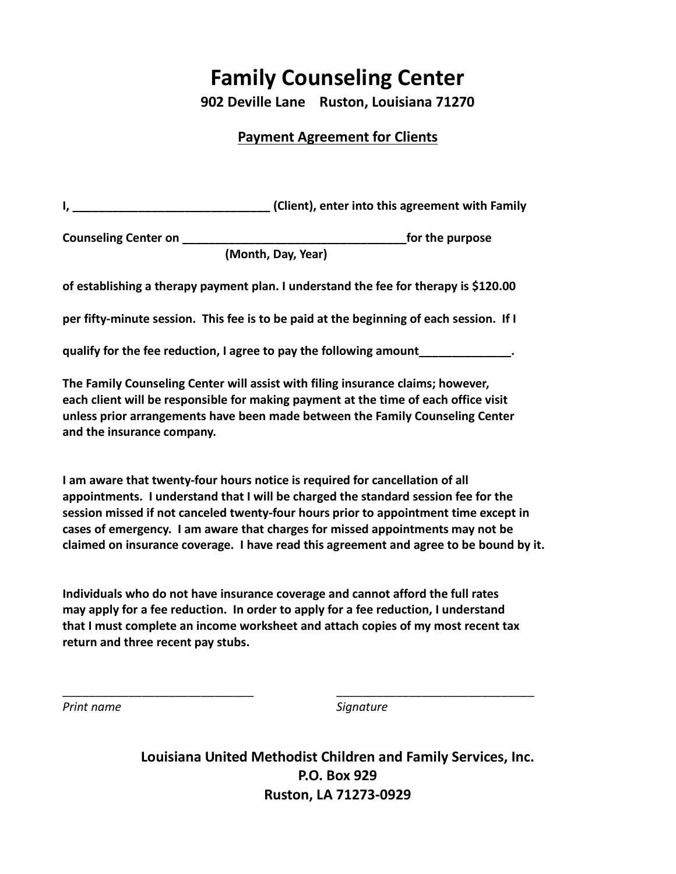# **Family Counseling Center**

**902 Deville Lane Ruston, Louisiana 71270**

## **Payment Agreement for Clients**

|                                                                    | (Client), enter into this agreement with Family                                         |  |  |  |
|--------------------------------------------------------------------|-----------------------------------------------------------------------------------------|--|--|--|
| <b>Counseling Center on</b>                                        | for the purpose                                                                         |  |  |  |
| (Month, Day, Year)                                                 |                                                                                         |  |  |  |
|                                                                    | of establishing a therapy payment plan. I understand the fee for therapy is \$120.00    |  |  |  |
|                                                                    | per fifty-minute session. This fee is to be paid at the beginning of each session. If I |  |  |  |
| qualify for the fee reduction, I agree to pay the following amount |                                                                                         |  |  |  |
|                                                                    | The Family Counseling Center will assist with filing insurance claims; however,         |  |  |  |

**each client will be responsible for making payment at the time of each office visit unless prior arrangements have been made between the Family Counseling Center and the insurance company.**

**I am aware that twenty-four hours notice is required for cancellation of all appointments. I understand that I will be charged the standard session fee for the session missed if not canceled twenty-four hours prior to appointment time except in cases of emergency. I am aware that charges for missed appointments may not be claimed on insurance coverage. I have read this agreement and agree to be bound by it.**

**Individuals who do not have insurance coverage and cannot afford the full rates may apply for a fee reduction. In order to apply for a fee reduction, I understand that I must complete an income worksheet and attach copies of my most recent tax return and three recent pay stubs.** 

\_\_\_\_\_\_\_\_\_\_\_\_\_\_\_\_\_\_\_\_\_\_\_\_\_\_\_\_\_ \_\_\_\_\_\_\_\_\_\_\_\_\_\_\_\_\_\_\_\_\_\_\_\_\_\_\_\_\_\_

*Print name Signature*

**Louisiana United Methodist Children and Family Services, Inc. P.O. Box 929 Ruston, LA 71273-0929**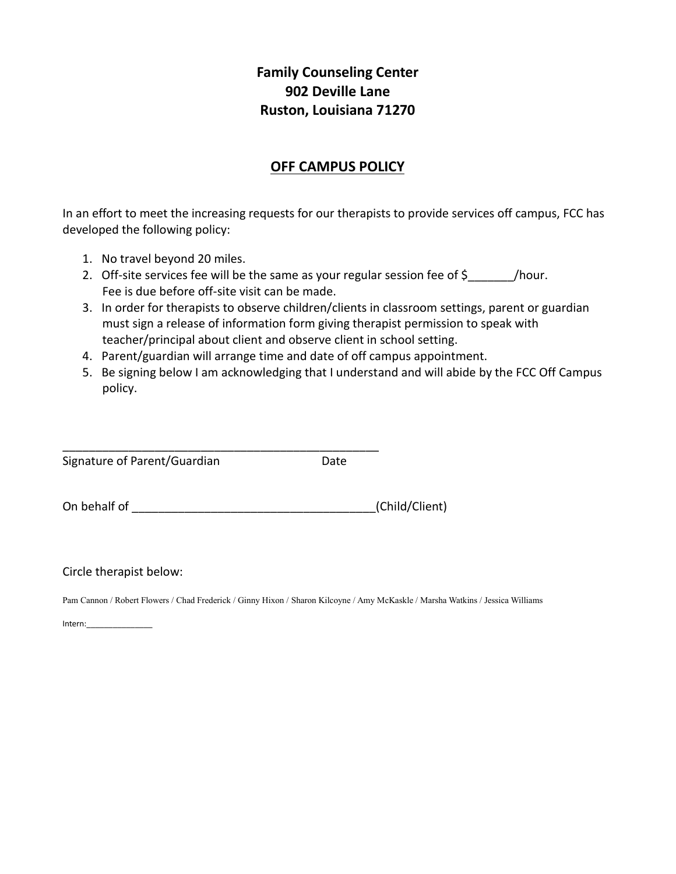# **Family Counseling Center 902 Deville Lane Ruston, Louisiana 71270**

# **OFF CAMPUS POLICY**

In an effort to meet the increasing requests for our therapists to provide services off campus, FCC has developed the following policy:

- 1. No travel beyond 20 miles.
- 2. Off-site services fee will be the same as your regular session fee of \$\_\_\_\_\_\_\_\_/hour. Fee is due before off-site visit can be made.
- 3. In order for therapists to observe children/clients in classroom settings, parent or guardian must sign a release of information form giving therapist permission to speak with teacher/principal about client and observe client in school setting.
- 4. Parent/guardian will arrange time and date of off campus appointment.
- 5. Be signing below I am acknowledging that I understand and will abide by the FCC Off Campus policy.

\_\_\_\_\_\_\_\_\_\_\_\_\_\_\_\_\_\_\_\_\_\_\_\_\_\_\_\_\_\_\_\_\_\_\_\_\_\_\_\_\_\_\_\_\_\_\_\_ Signature of Parent/Guardian and Date

| On behalf of |  | (Child/Client) |  |
|--------------|--|----------------|--|
|--------------|--|----------------|--|

Circle therapist below:

Pam Cannon / Robert Flowers / Chad Frederick / Ginny Hixon / Sharon Kilcoyne / Amy McKaskle / Marsha Watkins / Jessica Williams

Intern:\_\_\_\_\_\_\_\_\_\_\_\_\_\_\_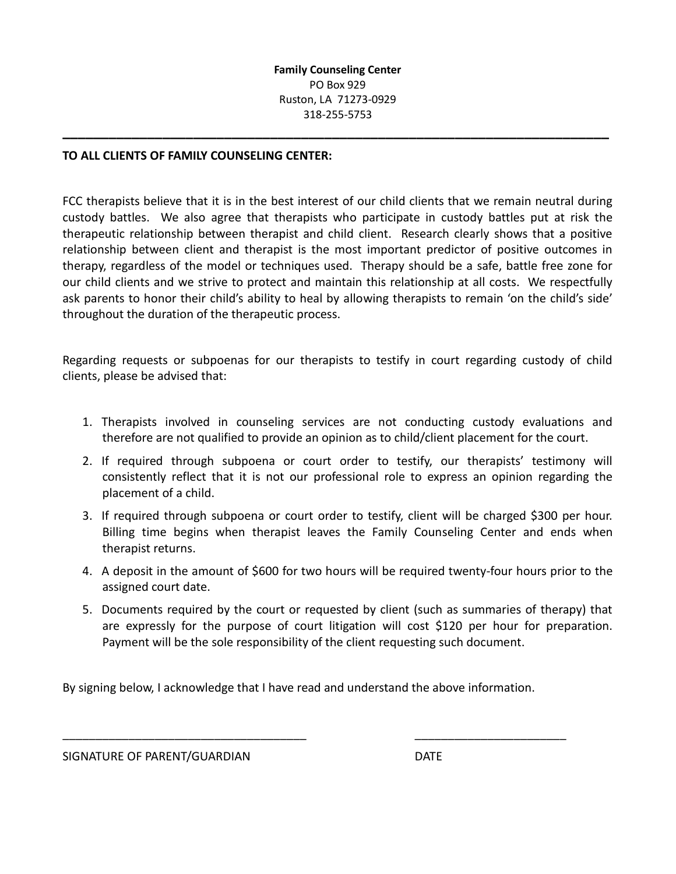**\_\_\_\_\_\_\_\_\_\_\_\_\_\_\_\_\_\_\_\_\_\_\_\_\_\_\_\_\_\_\_\_\_\_\_\_\_\_\_\_\_\_\_\_\_\_\_\_\_\_\_\_\_\_\_\_\_\_\_\_\_\_\_\_\_\_\_\_\_\_\_**

### **TO ALL CLIENTS OF FAMILY COUNSELING CENTER:**

FCC therapists believe that it is in the best interest of our child clients that we remain neutral during custody battles. We also agree that therapists who participate in custody battles put at risk the therapeutic relationship between therapist and child client. Research clearly shows that a positive relationship between client and therapist is the most important predictor of positive outcomes in therapy, regardless of the model or techniques used. Therapy should be a safe, battle free zone for our child clients and we strive to protect and maintain this relationship at all costs. We respectfully ask parents to honor their child's ability to heal by allowing therapists to remain 'on the child's side' throughout the duration of the therapeutic process.

Regarding requests or subpoenas for our therapists to testify in court regarding custody of child clients, please be advised that:

- 1. Therapists involved in counseling services are not conducting custody evaluations and therefore are not qualified to provide an opinion as to child/client placement for the court.
- 2. If required through subpoena or court order to testify, our therapists' testimony will consistently reflect that it is not our professional role to express an opinion regarding the placement of a child.
- 3. If required through subpoena or court order to testify, client will be charged \$300 per hour. Billing time begins when therapist leaves the Family Counseling Center and ends when therapist returns.
- 4. A deposit in the amount of \$600 for two hours will be required twenty-four hours prior to the assigned court date.
- 5. Documents required by the court or requested by client (such as summaries of therapy) that are expressly for the purpose of court litigation will cost \$120 per hour for preparation. Payment will be the sole responsibility of the client requesting such document.

By signing below, I acknowledge that I have read and understand the above information.

\_\_\_\_\_\_\_\_\_\_\_\_\_\_\_\_\_\_\_\_\_\_\_\_\_\_\_\_\_\_\_\_\_\_\_\_\_ \_\_\_\_\_\_\_\_\_\_\_\_\_\_\_\_\_\_\_\_\_\_\_

SIGNATURE OF PARENT/GUARDIAN DATE